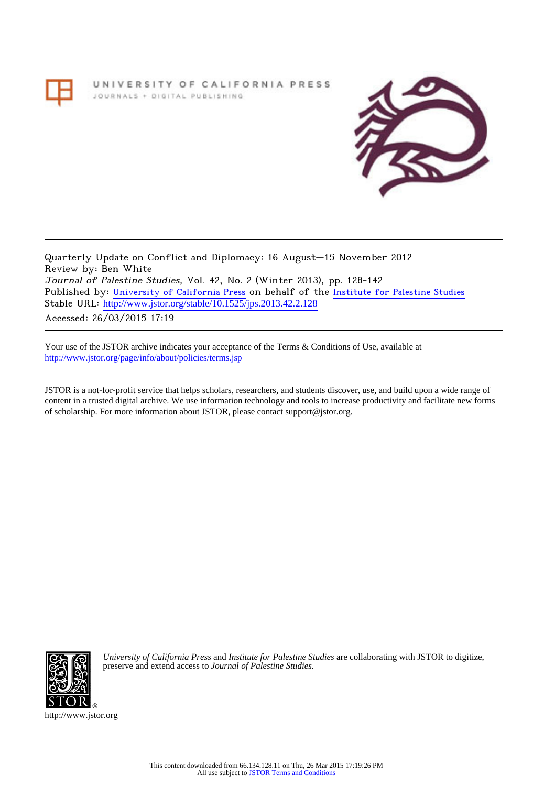UNIVERSITY OF CALIFORNIA PRESS JOURNALS + DIGITAL PUBLISHING



Quarterly Update on Conflict and Diplomacy: 16 August–15 November 2012 Review by: Ben White Journal of Palestine Studies, Vol. 42, No. 2 (Winter 2013), pp. 128-142 Published by: [University of California Press](http://www.jstor.org/action/showPublisher?publisherCode=ucal) on behalf of the [Institute for Palestine Studies](http://www.jstor.org/action/showPublisher?publisherCode=palstud) Stable URL: http://www.jstor.org/stable/10.1525/jps.2013.42.2.128 Accessed: 26/03/2015 17:19

Your use of the JSTOR archive indicates your acceptance of the Terms & Conditions of Use, available at <http://www.jstor.org/page/info/about/policies/terms.jsp>

JSTOR is a not-for-profit service that helps scholars, researchers, and students discover, use, and build upon a wide range of content in a trusted digital archive. We use information technology and tools to increase productivity and facilitate new forms of scholarship. For more information about JSTOR, please contact support@jstor.org.



*University of California Press* and *Institute for Palestine Studies* are collaborating with JSTOR to digitize, preserve and extend access to *Journal of Palestine Studies.*

http://www.jstor.org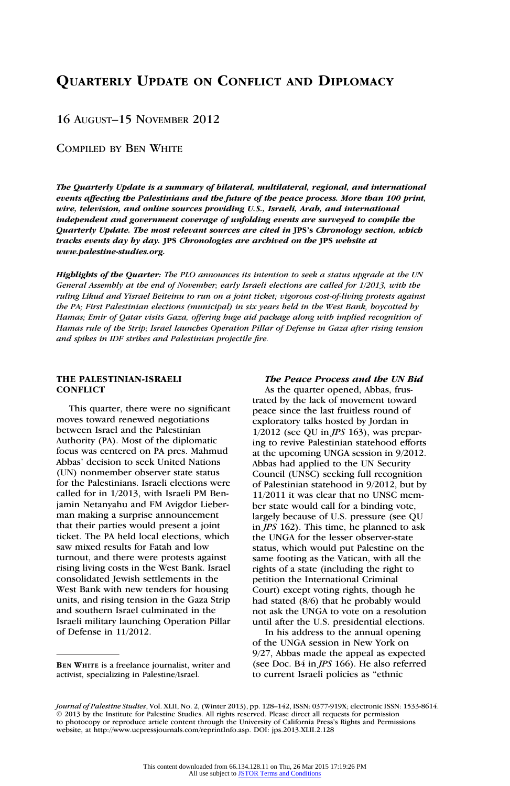# QUARTERLY UPDATE ON CONFLICT AND DIPLOMACY

16 AUGUST–15 NOVEMBER 2012

COMPILED BY BEN WHITE

The Quarterly Update is a summary of bilateral, multilateral, regional, and international events affecting the Palestinians and the future of the peace process. More than 100 print, wire, television, and online sources providing U.S., Israeli, Arab, and international independent and government coverage of unfolding events are surveyed to compile the Quarterly Update. The most relevant sources are cited in JPS's Chronology section, which tracks events day by day. JPS Chronologies are archived on the JPS website at www.palestine-studies.org.

Highlights of the Quarter: The PLO announces its intention to seek a status upgrade at the UN General Assembly at the end of November; early Israeli elections are called for 1/2013, with the ruling Likud and Yisrael Beiteinu to run on a joint ticket; vigorous cost-of-living protests against the PA; First Palestinian elections (municipal) in six years held in the West Bank, boycotted by Hamas; Emir of Qatar visits Gaza, offering huge aid package along with implied recognition of Hamas rule of the Strip; Israel launches Operation Pillar of Defense in Gaza after rising tension and spikes in IDF strikes and Palestinian projectile fire.

# THE PALESTINIAN-ISRAELI **CONFLICT**

This quarter, there were no significant moves toward renewed negotiations between Israel and the Palestinian Authority (PA). Most of the diplomatic focus was centered on PA pres. Mahmud Abbas' decision to seek United Nations (UN) nonmember observer state status for the Palestinians. Israeli elections were called for in 1/2013, with Israeli PM Benjamin Netanyahu and FM Avigdor Lieberman making a surprise announcement that their parties would present a joint ticket. The PA held local elections, which saw mixed results for Fatah and low turnout, and there were protests against rising living costs in the West Bank. Israel consolidated Jewish settlements in the West Bank with new tenders for housing units, and rising tension in the Gaza Strip and southern Israel culminated in the Israeli military launching Operation Pillar of Defense in 11/2012.

# The Peace Process and the UN Bid

As the quarter opened, Abbas, frustrated by the lack of movement toward peace since the last fruitless round of exploratory talks hosted by Jordan in  $1/2012$  (see OU in *JPS* 163), was preparing to revive Palestinian statehood efforts at the upcoming UNGA session in 9/2012. Abbas had applied to the UN Security Council (UNSC) seeking full recognition of Palestinian statehood in 9/2012, but by 11/2011 it was clear that no UNSC member state would call for a binding vote, largely because of U.S. pressure (see QU in JPS 162). This time, he planned to ask the UNGA for the lesser observer-state status, which would put Palestine on the same footing as the Vatican, with all the rights of a state (including the right to petition the International Criminal Court) except voting rights, though he had stated (8/6) that he probably would not ask the UNGA to vote on a resolution until after the U.S. presidential elections.

In his address to the annual opening of the UNGA session in New York on 9/27, Abbas made the appeal as expected (see Doc. B4 in JPS 166). He also referred to current Israeli policies as ''ethnic

BEN WHITE is a freelance journalist, writer and activist, specializing in Palestine/Israel.

Journal of Palestine Studies, Vol. XLII, No. 2, (Winter 2013), pp. 128-142, ISSN: 0377-919X; electronic ISSN: 1533-8614. © 2013 by the Institute for Palestine Studies. All rights reserved. Please direct all requests for permission to photocopy or reproduce article content through the University of California Press's Rights and Permissions website, at http://www.ucpressjournals.com/reprintInfo.asp. DOI: jps.2013.XLII.2.128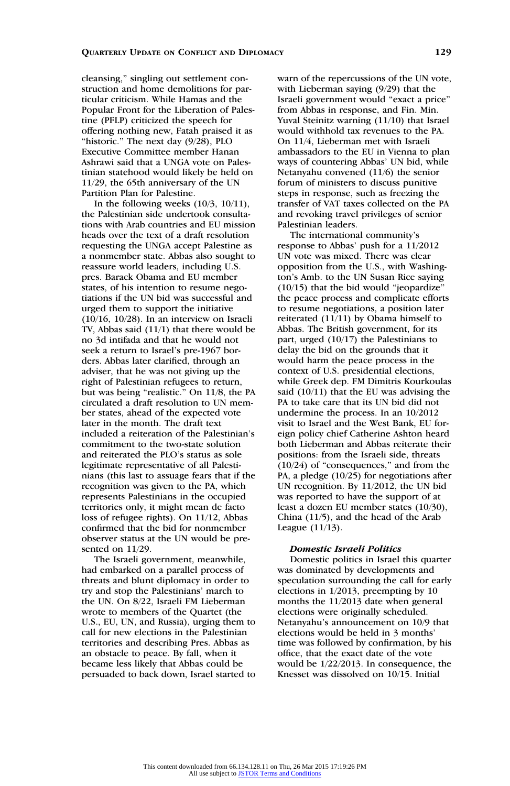cleansing,'' singling out settlement construction and home demolitions for particular criticism. While Hamas and the Popular Front for the Liberation of Palestine (PFLP) criticized the speech for offering nothing new, Fatah praised it as "historic." The next day  $(9/28)$ , PLO Executive Committee member Hanan Ashrawi said that a UNGA vote on Palestinian statehood would likely be held on 11/29, the 65th anniversary of the UN Partition Plan for Palestine.

In the following weeks  $(10/3, 10/11)$ , the Palestinian side undertook consultations with Arab countries and EU mission heads over the text of a draft resolution requesting the UNGA accept Palestine as a nonmember state. Abbas also sought to reassure world leaders, including U.S. pres. Barack Obama and EU member states, of his intention to resume negotiations if the UN bid was successful and urged them to support the initiative (10/16, 10/28). In an interview on Israeli TV, Abbas said (11/1) that there would be no 3d intifada and that he would not seek a return to Israel's pre-1967 borders. Abbas later clarified, through an adviser, that he was not giving up the right of Palestinian refugees to return, but was being "realistic." On 11/8, the PA circulated a draft resolution to UN member states, ahead of the expected vote later in the month. The draft text included a reiteration of the Palestinian's commitment to the two-state solution and reiterated the PLO's status as sole legitimate representative of all Palestinians (this last to assuage fears that if the recognition was given to the PA, which represents Palestinians in the occupied territories only, it might mean de facto loss of refugee rights). On 11/12, Abbas confirmed that the bid for nonmember observer status at the UN would be presented on 11/29.

The Israeli government, meanwhile, had embarked on a parallel process of threats and blunt diplomacy in order to try and stop the Palestinians' march to the UN. On 8/22, Israeli FM Lieberman wrote to members of the Quartet (the U.S., EU, UN, and Russia), urging them to call for new elections in the Palestinian territories and describing Pres. Abbas as an obstacle to peace. By fall, when it became less likely that Abbas could be persuaded to back down, Israel started to warn of the repercussions of the UN vote, with Lieberman saying (9/29) that the Israeli government would ''exact a price'' from Abbas in response, and Fin. Min. Yuval Steinitz warning (11/10) that Israel would withhold tax revenues to the PA. On 11/4, Lieberman met with Israeli ambassadors to the EU in Vienna to plan ways of countering Abbas' UN bid, while Netanyahu convened (11/6) the senior forum of ministers to discuss punitive steps in response, such as freezing the transfer of VAT taxes collected on the PA and revoking travel privileges of senior Palestinian leaders.

The international community's response to Abbas' push for a 11/2012 UN vote was mixed. There was clear opposition from the U.S., with Washington's Amb. to the UN Susan Rice saying (10/15) that the bid would ''jeopardize'' the peace process and complicate efforts to resume negotiations, a position later reiterated (11/11) by Obama himself to Abbas. The British government, for its part, urged (10/17) the Palestinians to delay the bid on the grounds that it would harm the peace process in the context of U.S. presidential elections, while Greek dep. FM Dimitris Kourkoulas said (10/11) that the EU was advising the PA to take care that its UN bid did not undermine the process. In an 10/2012 visit to Israel and the West Bank, EU foreign policy chief Catherine Ashton heard both Lieberman and Abbas reiterate their positions: from the Israeli side, threats  $(10/24)$  of "consequences," and from the PA, a pledge (10/25) for negotiations after UN recognition. By 11/2012, the UN bid was reported to have the support of at least a dozen EU member states (10/30), China (11/5), and the head of the Arab League (11/13).

### Domestic Israeli Politics

Domestic politics in Israel this quarter was dominated by developments and speculation surrounding the call for early elections in 1/2013, preempting by 10 months the 11/2013 date when general elections were originally scheduled. Netanyahu's announcement on 10/9 that elections would be held in 3 months' time was followed by confirmation, by his office, that the exact date of the vote would be 1/22/2013. In consequence, the Knesset was dissolved on 10/15. Initial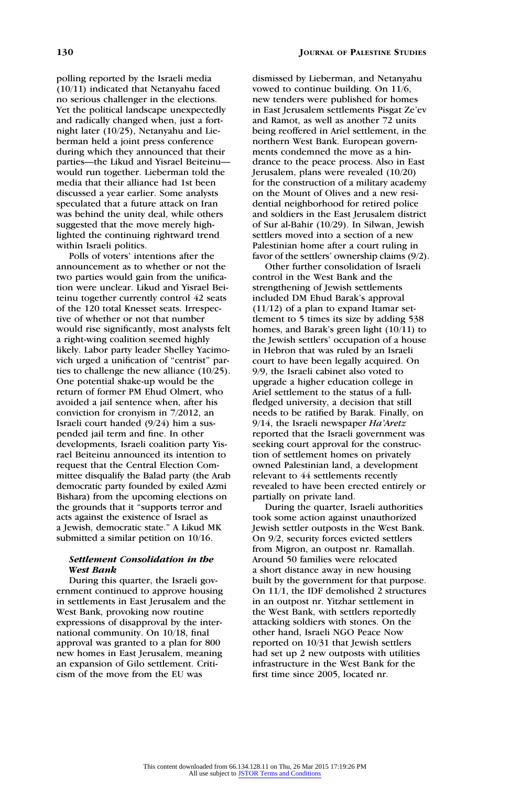polling reported by the Israeli media (10/11) indicated that Netanyahu faced no serious challenger in the elections. Yet the political landscape unexpectedly and radically changed when, just a fortnight later (10/25), Netanyahu and Lieberman held a joint press conference during which they announced that their parties—the Likud and Yisrael Beiteinu would run together. Lieberman told the media that their alliance had 1st been discussed a year earlier. Some analysts speculated that a future attack on Iran was behind the unity deal, while others suggested that the move merely highlighted the continuing rightward trend within Israeli politics.

Polls of voters' intentions after the announcement as to whether or not the two parties would gain from the unification were unclear. Likud and Yisrael Beiteinu together currently control 42 seats of the 120 total Knesset seats. Irrespective of whether or not that number would rise significantly, most analysts felt a right-wing coalition seemed highly likely. Labor party leader Shelley Yacimovich urged a unification of "centrist" parties to challenge the new alliance (10/25). One potential shake-up would be the return of former PM Ehud Olmert, who avoided a jail sentence when, after his conviction for cronyism in 7/2012, an Israeli court handed (9/24) him a suspended jail term and fine. In other developments, Israeli coalition party Yisrael Beiteinu announced its intention to request that the Central Election Committee disqualify the Balad party (the Arab democratic party founded by exiled Azmi Bishara) from the upcoming elections on the grounds that it ''supports terror and acts against the existence of Israel as a Jewish, democratic state.'' A Likud MK submitted a similar petition on 10/16.

### Settlement Consolidation in the West Bank

During this quarter, the Israeli government continued to approve housing in settlements in East Jerusalem and the West Bank, provoking now routine expressions of disapproval by the international community. On 10/18, final approval was granted to a plan for 800 new homes in East Jerusalem, meaning an expansion of Gilo settlement. Criticism of the move from the EU was

dismissed by Lieberman, and Netanyahu vowed to continue building. On 11/6, new tenders were published for homes in East Jerusalem settlements Pisgat Ze'ev and Ramot, as well as another 72 units being reoffered in Ariel settlement, in the northern West Bank. European governments condemned the move as a hindrance to the peace process. Also in East Jerusalem, plans were revealed (10/20) for the construction of a military academy on the Mount of Olives and a new residential neighborhood for retired police and soldiers in the East Jerusalem district of Sur al-Bahir (10/29). In Silwan, Jewish settlers moved into a section of a new Palestinian home after a court ruling in favor of the settlers' ownership claims (9/2).

Other further consolidation of Israeli control in the West Bank and the strengthening of Jewish settlements included DM Ehud Barak's approval (11/12) of a plan to expand Itamar settlement to 5 times its size by adding 538 homes, and Barak's green light (10/11) to the Jewish settlers' occupation of a house in Hebron that was ruled by an Israeli court to have been legally acquired. On 9/9, the Israeli cabinet also voted to upgrade a higher education college in Ariel settlement to the status of a fullfledged university, a decision that still needs to be ratified by Barak. Finally, on 9/14, the Israeli newspaper Ha'Aretz reported that the Israeli government was seeking court approval for the construction of settlement homes on privately owned Palestinian land, a development relevant to 44 settlements recently revealed to have been erected entirely or partially on private land.

During the quarter, Israeli authorities took some action against unauthorized Jewish settler outposts in the West Bank. On 9/2, security forces evicted settlers from Migron, an outpost nr. Ramallah. Around 50 families were relocated a short distance away in new housing built by the government for that purpose. On 11/1, the IDF demolished 2 structures in an outpost nr. Yitzhar settlement in the West Bank, with settlers reportedly attacking soldiers with stones. On the other hand, Israeli NGO Peace Now reported on 10/31 that Jewish settlers had set up 2 new outposts with utilities infrastructure in the West Bank for the first time since 2005, located nr.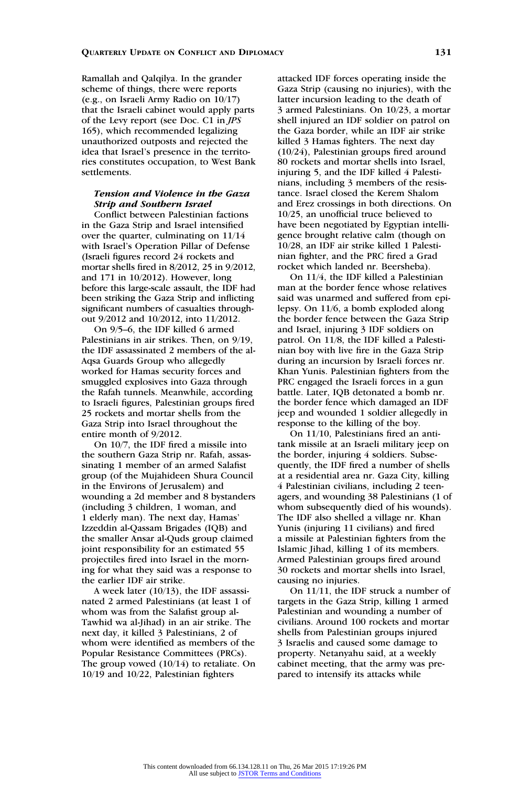Ramallah and Qalqilya. In the grander scheme of things, there were reports (e.g., on Israeli Army Radio on 10/17) that the Israeli cabinet would apply parts of the Levy report (see Doc. C1 in JPS 165), which recommended legalizing unauthorized outposts and rejected the idea that Israel's presence in the territories constitutes occupation, to West Bank settlements.

# Tension and Violence in the Gaza Strip and Southern Israel

Conflict between Palestinian factions in the Gaza Strip and Israel intensified over the quarter, culminating on 11/14 with Israel's Operation Pillar of Defense (Israeli figures record 24 rockets and mortar shells fired in 8/2012, 25 in 9/2012, and 171 in 10/2012). However, long before this large-scale assault, the IDF had been striking the Gaza Strip and inflicting significant numbers of casualties throughout 9/2012 and 10/2012, into 11/2012.

On 9/5–6, the IDF killed 6 armed Palestinians in air strikes. Then, on 9/19, the IDF assassinated 2 members of the al-Aqsa Guards Group who allegedly worked for Hamas security forces and smuggled explosives into Gaza through the Rafah tunnels. Meanwhile, according to Israeli figures, Palestinian groups fired 25 rockets and mortar shells from the Gaza Strip into Israel throughout the entire month of 9/2012.

On 10/7, the IDF fired a missile into the southern Gaza Strip nr. Rafah, assassinating 1 member of an armed Salafist group (of the Mujahideen Shura Council in the Environs of Jerusalem) and wounding a 2d member and 8 bystanders (including 3 children, 1 woman, and 1 elderly man). The next day, Hamas' Izzeddin al-Qassam Brigades (IQB) and the smaller Ansar al-Quds group claimed joint responsibility for an estimated 55 projectiles fired into Israel in the morning for what they said was a response to the earlier IDF air strike.

A week later (10/13), the IDF assassinated 2 armed Palestinians (at least 1 of whom was from the Salafist group al-Tawhid wa al-Jihad) in an air strike. The next day, it killed 3 Palestinians, 2 of whom were identified as members of the Popular Resistance Committees (PRCs). The group vowed (10/14) to retaliate. On 10/19 and 10/22, Palestinian fighters

attacked IDF forces operating inside the Gaza Strip (causing no injuries), with the latter incursion leading to the death of 3 armed Palestinians. On 10/23, a mortar shell injured an IDF soldier on patrol on the Gaza border, while an IDF air strike killed 3 Hamas fighters. The next day (10/24), Palestinian groups fired around 80 rockets and mortar shells into Israel, injuring 5, and the IDF killed 4 Palestinians, including 3 members of the resistance. Israel closed the Kerem Shalom and Erez crossings in both directions. On 10/25, an unofficial truce believed to have been negotiated by Egyptian intelligence brought relative calm (though on 10/28, an IDF air strike killed 1 Palestinian fighter, and the PRC fired a Grad rocket which landed nr. Beersheba).

On 11/4, the IDF killed a Palestinian man at the border fence whose relatives said was unarmed and suffered from epilepsy. On 11/6, a bomb exploded along the border fence between the Gaza Strip and Israel, injuring 3 IDF soldiers on patrol. On 11/8, the IDF killed a Palestinian boy with live fire in the Gaza Strip during an incursion by Israeli forces nr. Khan Yunis. Palestinian fighters from the PRC engaged the Israeli forces in a gun battle. Later, IQB detonated a bomb nr. the border fence which damaged an IDF jeep and wounded 1 soldier allegedly in response to the killing of the boy.

On 11/10, Palestinians fired an antitank missile at an Israeli military jeep on the border, injuring 4 soldiers. Subsequently, the IDF fired a number of shells at a residential area nr. Gaza City, killing 4 Palestinian civilians, including 2 teenagers, and wounding 38 Palestinians (1 of whom subsequently died of his wounds). The IDF also shelled a village nr. Khan Yunis (injuring 11 civilians) and fired a missile at Palestinian fighters from the Islamic Jihad, killing 1 of its members. Armed Palestinian groups fired around 30 rockets and mortar shells into Israel, causing no injuries.

On 11/11, the IDF struck a number of targets in the Gaza Strip, killing 1 armed Palestinian and wounding a number of civilians. Around 100 rockets and mortar shells from Palestinian groups injured 3 Israelis and caused some damage to property. Netanyahu said, at a weekly cabinet meeting, that the army was prepared to intensify its attacks while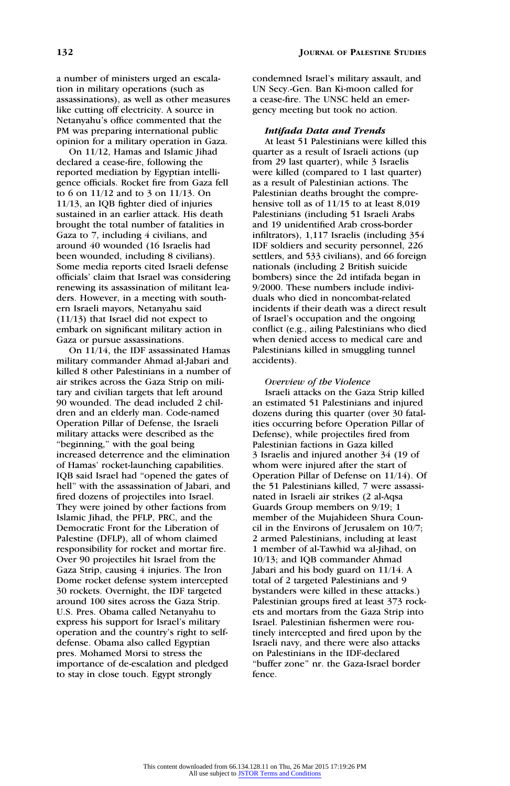a number of ministers urged an escalation in military operations (such as assassinations), as well as other measures like cutting off electricity. A source in Netanyahu's office commented that the PM was preparing international public opinion for a military operation in Gaza.

On 11/12, Hamas and Islamic Jihad declared a cease-fire, following the reported mediation by Egyptian intelligence officials. Rocket fire from Gaza fell to 6 on 11/12 and to 3 on 11/13. On 11/13, an IQB fighter died of injuries sustained in an earlier attack. His death brought the total number of fatalities in Gaza to 7, including 4 civilians, and around 40 wounded (16 Israelis had been wounded, including 8 civilians). Some media reports cited Israeli defense officials' claim that Israel was considering renewing its assassination of militant leaders. However, in a meeting with southern Israeli mayors, Netanyahu said (11/13) that Israel did not expect to embark on significant military action in Gaza or pursue assassinations.

On 11/14, the IDF assassinated Hamas military commander Ahmad al-Jabari and killed 8 other Palestinians in a number of air strikes across the Gaza Strip on military and civilian targets that left around 90 wounded. The dead included 2 children and an elderly man. Code-named Operation Pillar of Defense, the Israeli military attacks were described as the ''beginning,'' with the goal being increased deterrence and the elimination of Hamas' rocket-launching capabilities. IQB said Israel had ''opened the gates of hell'' with the assassination of Jabari, and fired dozens of projectiles into Israel. They were joined by other factions from Islamic Jihad, the PFLP, PRC, and the Democratic Front for the Liberation of Palestine (DFLP), all of whom claimed responsibility for rocket and mortar fire. Over 90 projectiles hit Israel from the Gaza Strip, causing 4 injuries. The Iron Dome rocket defense system intercepted 30 rockets. Overnight, the IDF targeted around 100 sites across the Gaza Strip. U.S. Pres. Obama called Netanyahu to express his support for Israel's military operation and the country's right to selfdefense. Obama also called Egyptian pres. Mohamed Morsi to stress the importance of de-escalation and pledged to stay in close touch. Egypt strongly

condemned Israel's military assault, and UN Secy.-Gen. Ban Ki-moon called for a cease-fire. The UNSC held an emergency meeting but took no action.

#### Intifada Data and Trends

At least 51 Palestinians were killed this quarter as a result of Israeli actions (up from 29 last quarter), while 3 Israelis were killed (compared to 1 last quarter) as a result of Palestinian actions. The Palestinian deaths brought the comprehensive toll as of 11/15 to at least 8,019 Palestinians (including 51 Israeli Arabs and 19 unidentified Arab cross-border infiltrators), 1,117 Israelis (including 354 IDF soldiers and security personnel, 226 settlers, and 533 civilians), and 66 foreign nationals (including 2 British suicide bombers) since the 2d intifada began in 9/2000. These numbers include individuals who died in noncombat-related incidents if their death was a direct result of Israel's occupation and the ongoing conflict (e.g., ailing Palestinians who died when denied access to medical care and Palestinians killed in smuggling tunnel accidents).

#### Overview of the Violence

Israeli attacks on the Gaza Strip killed an estimated 51 Palestinians and injured dozens during this quarter (over 30 fatalities occurring before Operation Pillar of Defense), while projectiles fired from Palestinian factions in Gaza killed 3 Israelis and injured another 34 (19 of whom were injured after the start of Operation Pillar of Defense on 11/14). Of the 51 Palestinians killed, 7 were assassinated in Israeli air strikes (2 al-Aqsa Guards Group members on 9/19; 1 member of the Mujahideen Shura Council in the Environs of Jerusalem on 10/7; 2 armed Palestinians, including at least 1 member of al-Tawhid wa al-Jihad, on 10/13; and IQB commander Ahmad Jabari and his body guard on 11/14. A total of 2 targeted Palestinians and 9 bystanders were killed in these attacks.) Palestinian groups fired at least 373 rockets and mortars from the Gaza Strip into Israel. Palestinian fishermen were routinely intercepted and fired upon by the Israeli navy, and there were also attacks on Palestinians in the IDF-declared ''buffer zone'' nr. the Gaza-Israel border fence.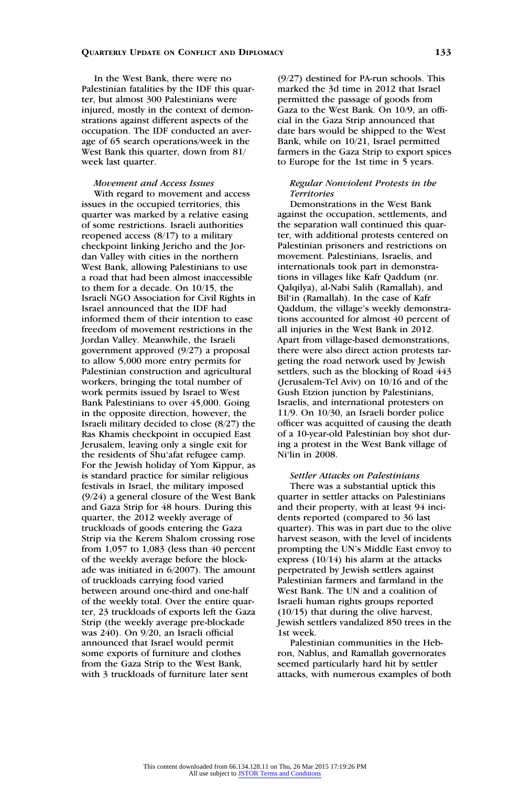In the West Bank, there were no Palestinian fatalities by the IDF this quarter, but almost 300 Palestinians were injured, mostly in the context of demonstrations against different aspects of the occupation. The IDF conducted an average of 65 search operations/week in the West Bank this quarter, down from 81/ week last quarter.

# Movement and Access Issues

With regard to movement and access issues in the occupied territories, this quarter was marked by a relative easing of some restrictions. Israeli authorities reopened access (8/17) to a military checkpoint linking Jericho and the Jordan Valley with cities in the northern West Bank, allowing Palestinians to use a road that had been almost inaccessible to them for a decade. On 10/15, the Israeli NGO Association for Civil Rights in Israel announced that the IDF had informed them of their intention to ease freedom of movement restrictions in the Jordan Valley. Meanwhile, the Israeli government approved (9/27) a proposal to allow 5,000 more entry permits for Palestinian construction and agricultural workers, bringing the total number of work permits issued by Israel to West Bank Palestinians to over 45,000. Going in the opposite direction, however, the Israeli military decided to close (8/27) the Ras Khamis checkpoint in occupied East Jerusalem, leaving only a single exit for the residents of Shu'afat refugee camp. For the Jewish holiday of Yom Kippur, as is standard practice for similar religious festivals in Israel, the military imposed (9/24) a general closure of the West Bank and Gaza Strip for 48 hours. During this quarter, the 2012 weekly average of truckloads of goods entering the Gaza Strip via the Kerem Shalom crossing rose from 1,057 to 1,083 (less than 40 percent of the weekly average before the blockade was initiated in 6/2007). The amount of truckloads carrying food varied between around one-third and one-half of the weekly total. Over the entire quarter, 23 truckloads of exports left the Gaza Strip (the weekly average pre-blockade was 240). On 9/20, an Israeli official announced that Israel would permit some exports of furniture and clothes from the Gaza Strip to the West Bank, with 3 truckloads of furniture later sent

(9/27) destined for PA-run schools. This marked the 3d time in 2012 that Israel permitted the passage of goods from Gaza to the West Bank. On 10/9, an official in the Gaza Strip announced that date bars would be shipped to the West Bank, while on 10/21, Israel permitted farmers in the Gaza Strip to export spices to Europe for the 1st time in 5 years.

### Regular Nonviolent Protests in the **Territories**

Demonstrations in the West Bank against the occupation, settlements, and the separation wall continued this quarter, with additional protests centered on Palestinian prisoners and restrictions on movement. Palestinians, Israelis, and internationals took part in demonstrations in villages like Kafr Qaddum (nr. Qalqilya), al-Nabi Salih (Ramallah), and Bil'in (Ramallah). In the case of Kafr Qaddum, the village's weekly demonstrations accounted for almost 40 percent of all injuries in the West Bank in 2012. Apart from village-based demonstrations, there were also direct action protests targeting the road network used by Jewish settlers, such as the blocking of Road 443 (Jerusalem-Tel Aviv) on 10/16 and of the Gush Etzion junction by Palestinians, Israelis, and international protesters on 11/9. On 10/30, an Israeli border police officer was acquitted of causing the death of a 10-year-old Palestinian boy shot during a protest in the West Bank village of Ni'lin in 2008.

# Settler Attacks on Palestinians

There was a substantial uptick this quarter in settler attacks on Palestinians and their property, with at least 94 incidents reported (compared to 36 last quarter). This was in part due to the olive harvest season, with the level of incidents prompting the UN's Middle East envoy to express (10/14) his alarm at the attacks perpetrated by Jewish settlers against Palestinian farmers and farmland in the West Bank. The UN and a coalition of Israeli human rights groups reported (10/15) that during the olive harvest, Jewish settlers vandalized 850 trees in the 1st week.

Palestinian communities in the Hebron, Nablus, and Ramallah governorates seemed particularly hard hit by settler attacks, with numerous examples of both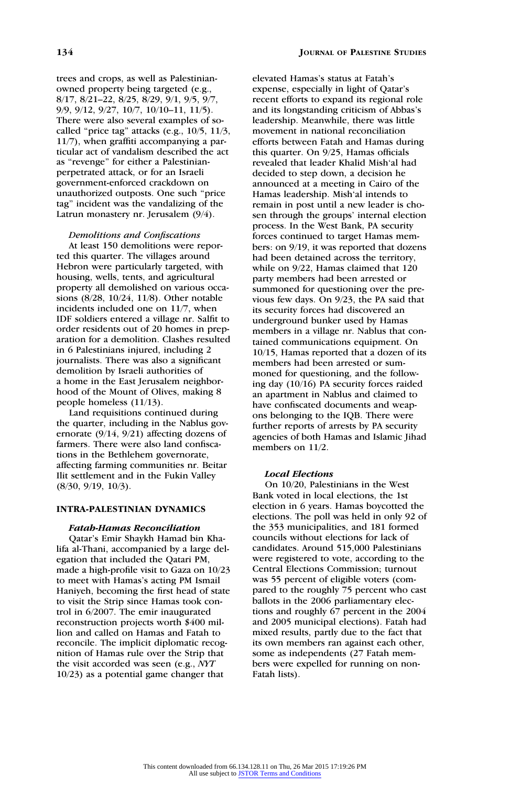trees and crops, as well as Palestinianowned property being targeted (e.g., 8/17, 8/21–22, 8/25, 8/29, 9/1, 9/5, 9/7, 9/9, 9/12, 9/27, 10/7, 10/10–11, 11/5). There were also several examples of socalled ''price tag'' attacks (e.g., 10/5, 11/3, 11/7), when graffiti accompanying a particular act of vandalism described the act as ''revenge'' for either a Palestinianperpetrated attack, or for an Israeli government-enforced crackdown on unauthorized outposts. One such ''price tag'' incident was the vandalizing of the Latrun monastery nr. Jerusalem (9/4).

## Demolitions and Confiscations

At least 150 demolitions were reported this quarter. The villages around Hebron were particularly targeted, with housing, wells, tents, and agricultural property all demolished on various occasions (8/28, 10/24, 11/8). Other notable incidents included one on 11/7, when IDF soldiers entered a village nr. Salfit to order residents out of 20 homes in preparation for a demolition. Clashes resulted in 6 Palestinians injured, including 2 journalists. There was also a significant demolition by Israeli authorities of a home in the East Jerusalem neighborhood of the Mount of Olives, making 8 people homeless (11/13).

Land requisitions continued during the quarter, including in the Nablus governorate (9/14, 9/21) affecting dozens of farmers. There were also land confiscations in the Bethlehem governorate, affecting farming communities nr. Beitar Ilit settlement and in the Fukin Valley (8/30, 9/19, 10/3).

# INTRA-PALESTINIAN DYNAMICS

### Fatah-Hamas Reconciliation

Qatar's Emir Shaykh Hamad bin Khalifa al-Thani, accompanied by a large delegation that included the Qatari PM, made a high-profile visit to Gaza on 10/23 to meet with Hamas's acting PM Ismail Haniyeh, becoming the first head of state to visit the Strip since Hamas took control in 6/2007. The emir inaugurated reconstruction projects worth \$400 million and called on Hamas and Fatah to reconcile. The implicit diplomatic recognition of Hamas rule over the Strip that the visit accorded was seen (e.g., NYT 10/23) as a potential game changer that

elevated Hamas's status at Fatah's expense, especially in light of Qatar's recent efforts to expand its regional role and its longstanding criticism of Abbas's leadership. Meanwhile, there was little movement in national reconciliation efforts between Fatah and Hamas during this quarter. On 9/25, Hamas officials revealed that leader Khalid Mish'al had decided to step down, a decision he announced at a meeting in Cairo of the Hamas leadership. Mish'al intends to remain in post until a new leader is chosen through the groups' internal election process. In the West Bank, PA security forces continued to target Hamas members: on 9/19, it was reported that dozens had been detained across the territory, while on 9/22, Hamas claimed that 120 party members had been arrested or summoned for questioning over the previous few days. On 9/23, the PA said that its security forces had discovered an underground bunker used by Hamas members in a village nr. Nablus that contained communications equipment. On 10/15, Hamas reported that a dozen of its members had been arrested or summoned for questioning, and the following day (10/16) PA security forces raided an apartment in Nablus and claimed to have confiscated documents and weapons belonging to the IQB. There were further reports of arrests by PA security agencies of both Hamas and Islamic Jihad members on 11/2.

#### Local Elections

On 10/20, Palestinians in the West Bank voted in local elections, the 1st election in 6 years. Hamas boycotted the elections. The poll was held in only 92 of the 353 municipalities, and 181 formed councils without elections for lack of candidates. Around 515,000 Palestinians were registered to vote, according to the Central Elections Commission; turnout was 55 percent of eligible voters (compared to the roughly 75 percent who cast ballots in the 2006 parliamentary elections and roughly 67 percent in the 2004 and 2005 municipal elections). Fatah had mixed results, partly due to the fact that its own members ran against each other, some as independents (27 Fatah members were expelled for running on non-Fatah lists).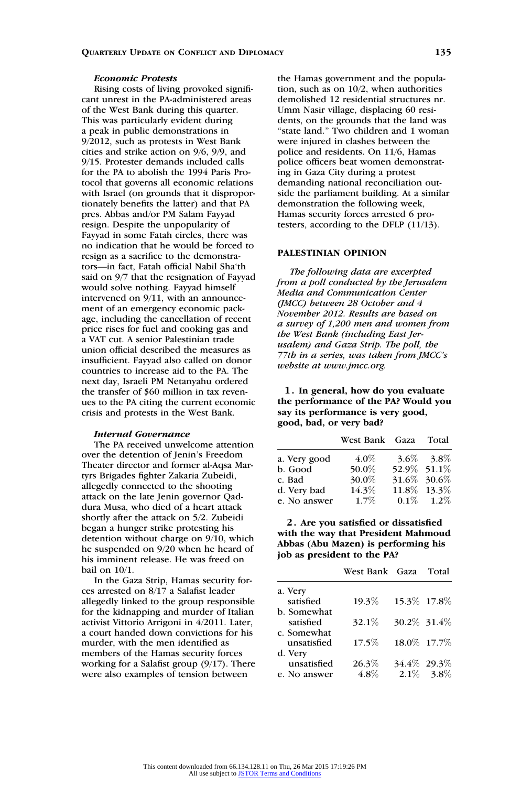### Economic Protests

Rising costs of living provoked significant unrest in the PA-administered areas of the West Bank during this quarter. This was particularly evident during a peak in public demonstrations in 9/2012, such as protests in West Bank cities and strike action on 9/6, 9/9, and 9/15. Protester demands included calls for the PA to abolish the 1994 Paris Protocol that governs all economic relations with Israel (on grounds that it disproportionately benefits the latter) and that PA pres. Abbas and/or PM Salam Fayyad resign. Despite the unpopularity of Fayyad in some Fatah circles, there was no indication that he would be forced to resign as a sacrifice to the demonstrators—in fact, Fatah official Nabil Sha'th said on 9/7 that the resignation of Fayyad would solve nothing. Fayyad himself intervened on 9/11, with an announcement of an emergency economic package, including the cancellation of recent price rises for fuel and cooking gas and a VAT cut. A senior Palestinian trade union official described the measures as insufficient. Fayyad also called on donor countries to increase aid to the PA. The next day, Israeli PM Netanyahu ordered the transfer of \$60 million in tax revenues to the PA citing the current economic crisis and protests in the West Bank.

### Internal Governance

The PA received unwelcome attention over the detention of Jenin's Freedom Theater director and former al-Aqsa Martyrs Brigades fighter Zakaria Zubeidi, allegedly connected to the shooting attack on the late Jenin governor Qaddura Musa, who died of a heart attack shortly after the attack on 5/2. Zubeidi began a hunger strike protesting his detention without charge on 9/10, which he suspended on 9/20 when he heard of his imminent release. He was freed on bail on 10/1.

In the Gaza Strip, Hamas security forces arrested on 8/17 a Salafist leader allegedly linked to the group responsible for the kidnapping and murder of Italian activist Vittorio Arrigoni in 4/2011. Later, a court handed down convictions for his murder, with the men identified as members of the Hamas security forces working for a Salafist group (9/17). There were also examples of tension between

the Hamas government and the population, such as on 10/2, when authorities demolished 12 residential structures nr. Umm Nasir village, displacing 60 residents, on the grounds that the land was "state land." Two children and 1 woman were injured in clashes between the police and residents. On 11/6, Hamas police officers beat women demonstrating in Gaza City during a protest demanding national reconciliation outside the parliament building. At a similar demonstration the following week, Hamas security forces arrested 6 protesters, according to the DFLP (11/13).

# PALESTINIAN OPINION

The following data are excerpted from a poll conducted by the Jerusalem Media and Communication Center (JMCC) between 28 October and 4 November 2012. Results are based on a survey of 1,200 men and women from the West Bank (including East Jerusalem) and Gaza Strip. The poll, the 77th in a series, was taken from JMCC's website at www.jmcc.org.

1. In general, how do you evaluate the performance of the PA? Would you say its performance is very good, good, bad, or very bad?

|              | West Bank Gaza Total |               |                 |
|--------------|----------------------|---------------|-----------------|
| a. Very good | $4.0\%$              |               | $3.6\%$ $3.8\%$ |
| b. Good      | 50.0%                | 52.9% 51.1%   |                 |
| c. Bad       | 30.0%                | 31.6\% 30.6\% |                 |
| d. Very bad  | 14.3%                |               | 11.8\% 13.3\%   |
| e. No answer | $1.7\%$              |               | $0.1\%$ 1.2\%   |

2. Are you satisfied or dissatisfied with the way that President Mahmoud Abbas (Abu Mazen) is performing his job as president to the PA?

|              | West Bank Gaza Total |               |
|--------------|----------------------|---------------|
| a. Very      |                      |               |
| satisfied    | 19.3%                | 15.3\% 17.8\% |
| b. Somewhat  |                      |               |
| satisfied    | 32.1\%               | 30.2\% 31.4\% |
| c. Somewhat  |                      |               |
| unsatisfied  | $17.5\%$             | 18.0\% 17.7\% |
| d. Very      |                      |               |
| unsatisfied  | 26.3%                | 34.4\% 29.3\% |
| e. No answer | 4.8%                 | $2.1\%$ 3.8%  |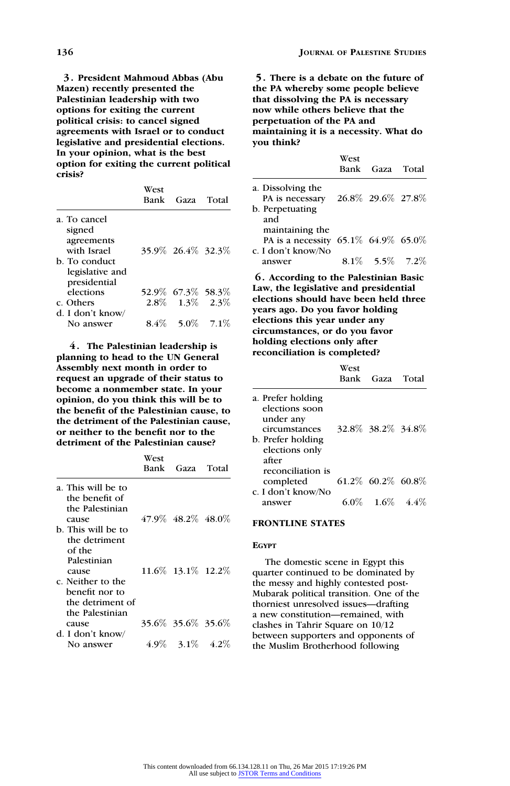3. President Mahmoud Abbas (Abu Mazen) recently presented the Palestinian leadership with two options for exiting the current political crisis: to cancel signed agreements with Israel or to conduct legislative and presidential elections. In your opinion, what is the best option for exiting the current political crisis?

|                      | West | Bank Gaza Total         |  |
|----------------------|------|-------------------------|--|
| a. To cancel         |      |                         |  |
| signed<br>agreements |      |                         |  |
| with Israel          |      | 35.9% 26.4% 32.3%       |  |
| b. To conduct        |      |                         |  |
| legislative and      |      |                         |  |
| presidential         |      |                         |  |
| elections            |      | 52.9% 67.3% 58.3%       |  |
| c. Others            |      | $2.8\%$ $1.3\%$ $2.3\%$ |  |
| d. I don't know/     |      |                         |  |
| No answer            |      | $8.4\%$ 5.0\% 7.1\%     |  |

4. The Palestinian leadership is planning to head to the UN General Assembly next month in order to request an upgrade of their status to become a nonmember state. In your opinion, do you think this will be to the benefit of the Palestinian cause, to the detriment of the Palestinian cause, or neither to the benefit nor to the detriment of the Palestinian cause?

|                                      | West<br>Bank | Gaza Total           |  |
|--------------------------------------|--------------|----------------------|--|
| a. This will be to<br>the benefit of |              |                      |  |
| the Palestinian                      |              |                      |  |
| cause                                |              | 47.9% 48.2% 48.0%    |  |
| b. This will be to                   |              |                      |  |
| the detriment                        |              |                      |  |
| of the                               |              |                      |  |
| Palestinian                          |              |                      |  |
| cause                                |              | 11.6\% 13.1\% 12.2\% |  |
| c. Neither to the                    |              |                      |  |
| benefit nor to                       |              |                      |  |
| the detriment of                     |              |                      |  |
| the Palestinian                      |              |                      |  |
| cause                                |              | 35.6\% 35.6\% 35.6\% |  |
| d. I don't know/                     |              |                      |  |
| No answer                            |              | 4.9\% 3.1\% 4.2\%    |  |

5. There is a debate on the future of the PA whereby some people believe that dissolving the PA is necessary now while others believe that the perpetuation of the PA and maintaining it is a necessity. What do you think?

|                                                                              | West | Bank Gaza Total      |  |
|------------------------------------------------------------------------------|------|----------------------|--|
| a. Dissolving the<br>PA is necessary<br>b. Perpetuating<br>and               |      | 26.8\% 29.6\% 27.8\% |  |
| maintaining the<br>PA is a necessity 65.1% 64.9% 65.0%<br>c. I don't know/No |      |                      |  |
| answer                                                                       |      | $8.1\%$ 5.5\% 7.2\%  |  |

6. According to the Palestinian Basic Law, the legislative and presidential elections should have been held three years ago. Do you favor holding elections this year under any circumstances, or do you favor holding elections only after reconciliation is completed?

|                                                                                                                   | West | Bank Gaza Total        |  |
|-------------------------------------------------------------------------------------------------------------------|------|------------------------|--|
| a. Prefer holding<br>elections soon<br>under any<br>circumstances<br>b. Prefer holding<br>elections only<br>after |      | 32.8% 38.2% 34.8%      |  |
| reconciliation is<br>completed<br>c. I don't know/No                                                              |      | $61.2\%$ 60.2\% 60.8\% |  |
| answer                                                                                                            |      | $6.0\%$ 1.6\% 4.4\     |  |

# FRONTLINE STATES

# EGYPT

The domestic scene in Egypt this quarter continued to be dominated by the messy and highly contested post-Mubarak political transition. One of the thorniest unresolved issues—drafting a new constitution—remained, with clashes in Tahrir Square on 10/12 between supporters and opponents of the Muslim Brotherhood following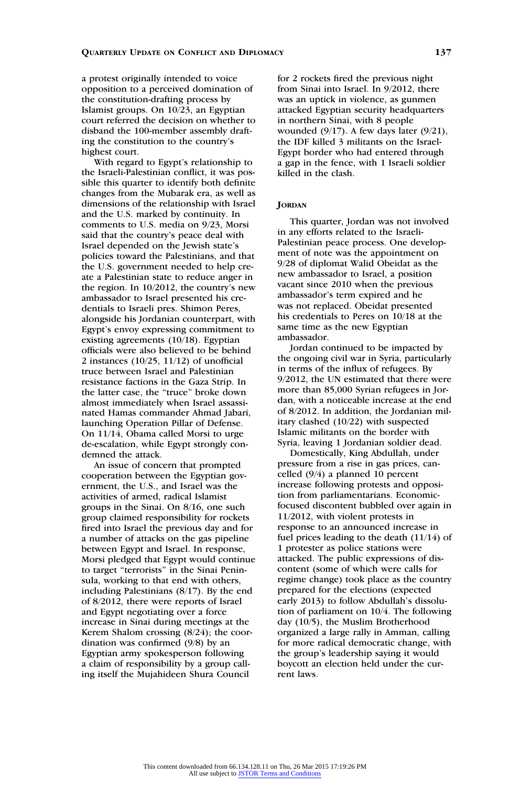a protest originally intended to voice opposition to a perceived domination of the constitution-drafting process by Islamist groups. On 10/23, an Egyptian court referred the decision on whether to disband the 100-member assembly drafting the constitution to the country's highest court.

With regard to Egypt's relationship to the Israeli-Palestinian conflict, it was possible this quarter to identify both definite changes from the Mubarak era, as well as dimensions of the relationship with Israel and the U.S. marked by continuity. In comments to U.S. media on 9/23, Morsi said that the country's peace deal with Israel depended on the Jewish state's policies toward the Palestinians, and that the U.S. government needed to help create a Palestinian state to reduce anger in the region. In 10/2012, the country's new ambassador to Israel presented his credentials to Israeli pres. Shimon Peres, alongside his Jordanian counterpart, with Egypt's envoy expressing commitment to existing agreements (10/18). Egyptian officials were also believed to be behind 2 instances (10/25, 11/12) of unofficial truce between Israel and Palestinian resistance factions in the Gaza Strip. In the latter case, the ''truce'' broke down almost immediately when Israel assassinated Hamas commander Ahmad Jabari, launching Operation Pillar of Defense. On 11/14, Obama called Morsi to urge de-escalation, while Egypt strongly condemned the attack.

An issue of concern that prompted cooperation between the Egyptian government, the U.S., and Israel was the activities of armed, radical Islamist groups in the Sinai. On 8/16, one such group claimed responsibility for rockets fired into Israel the previous day and for a number of attacks on the gas pipeline between Egypt and Israel. In response, Morsi pledged that Egypt would continue to target ''terrorists'' in the Sinai Peninsula, working to that end with others, including Palestinians (8/17). By the end of 8/2012, there were reports of Israel and Egypt negotiating over a force increase in Sinai during meetings at the Kerem Shalom crossing (8/24); the coordination was confirmed (9/8) by an Egyptian army spokesperson following a claim of responsibility by a group calling itself the Mujahideen Shura Council

for 2 rockets fired the previous night from Sinai into Israel. In 9/2012, there was an uptick in violence, as gunmen attacked Egyptian security headquarters in northern Sinai, with 8 people wounded (9/17). A few days later (9/21), the IDF killed 3 militants on the Israel-Egypt border who had entered through a gap in the fence, with 1 Israeli soldier killed in the clash.

### **JORDAN**

This quarter, Jordan was not involved in any efforts related to the Israeli-Palestinian peace process. One development of note was the appointment on 9/28 of diplomat Walid Obeidat as the new ambassador to Israel, a position vacant since 2010 when the previous ambassador's term expired and he was not replaced. Obeidat presented his credentials to Peres on 10/18 at the same time as the new Egyptian ambassador.

Jordan continued to be impacted by the ongoing civil war in Syria, particularly in terms of the influx of refugees. By 9/2012, the UN estimated that there were more than 85,000 Syrian refugees in Jordan, with a noticeable increase at the end of 8/2012. In addition, the Jordanian military clashed (10/22) with suspected Islamic militants on the border with Syria, leaving 1 Jordanian soldier dead.

Domestically, King Abdullah, under pressure from a rise in gas prices, cancelled (9/4) a planned 10 percent increase following protests and opposition from parliamentarians. Economicfocused discontent bubbled over again in 11/2012, with violent protests in response to an announced increase in fuel prices leading to the death (11/14) of 1 protester as police stations were attacked. The public expressions of discontent (some of which were calls for regime change) took place as the country prepared for the elections (expected early 2013) to follow Abdullah's dissolution of parliament on 10/4. The following day (10/5), the Muslim Brotherhood organized a large rally in Amman, calling for more radical democratic change, with the group's leadership saying it would boycott an election held under the current laws.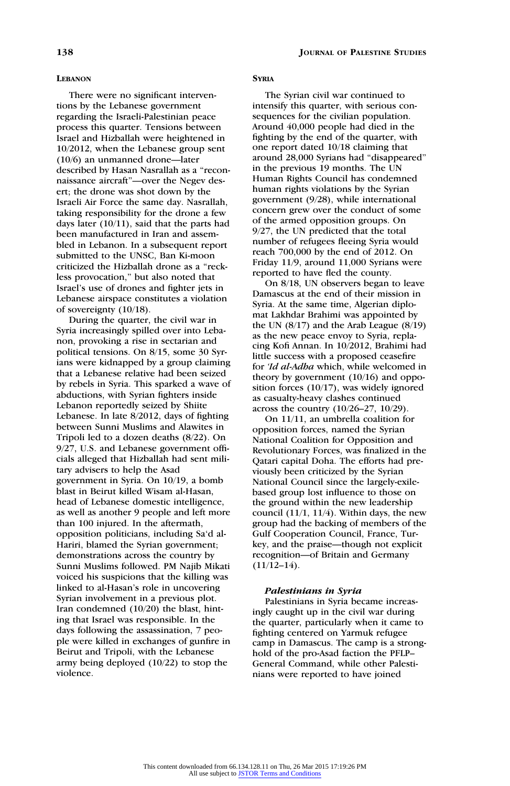### LEBANON

There were no significant interventions by the Lebanese government regarding the Israeli-Palestinian peace process this quarter. Tensions between Israel and Hizballah were heightened in 10/2012, when the Lebanese group sent (10/6) an unmanned drone—later described by Hasan Nasrallah as a ''reconnaissance aircraft''—over the Negev desert; the drone was shot down by the Israeli Air Force the same day. Nasrallah, taking responsibility for the drone a few days later (10/11), said that the parts had been manufactured in Iran and assembled in Lebanon. In a subsequent report submitted to the UNSC, Ban Ki-moon criticized the Hizballah drone as a ''reckless provocation,'' but also noted that Israel's use of drones and fighter jets in Lebanese airspace constitutes a violation of sovereignty (10/18).

During the quarter, the civil war in Syria increasingly spilled over into Lebanon, provoking a rise in sectarian and political tensions. On 8/15, some 30 Syrians were kidnapped by a group claiming that a Lebanese relative had been seized by rebels in Syria. This sparked a wave of abductions, with Syrian fighters inside Lebanon reportedly seized by Shiite Lebanese. In late 8/2012, days of fighting between Sunni Muslims and Alawites in Tripoli led to a dozen deaths (8/22). On 9/27, U.S. and Lebanese government officials alleged that Hizballah had sent military advisers to help the Asad government in Syria. On 10/19, a bomb blast in Beirut killed Wisam al-Hasan, head of Lebanese domestic intelligence, as well as another 9 people and left more than 100 injured. In the aftermath, opposition politicians, including Sa'd al-Hariri, blamed the Syrian government; demonstrations across the country by Sunni Muslims followed. PM Najib Mikati voiced his suspicions that the killing was linked to al-Hasan's role in uncovering Syrian involvement in a previous plot. Iran condemned (10/20) the blast, hinting that Israel was responsible. In the days following the assassination, 7 people were killed in exchanges of gunfire in Beirut and Tripoli, with the Lebanese army being deployed (10/22) to stop the violence.

### **SYRIA**

The Syrian civil war continued to intensify this quarter, with serious consequences for the civilian population. Around 40,000 people had died in the fighting by the end of the quarter, with one report dated 10/18 claiming that around 28,000 Syrians had ''disappeared'' in the previous 19 months. The UN Human Rights Council has condemned human rights violations by the Syrian government (9/28), while international concern grew over the conduct of some of the armed opposition groups. On 9/27, the UN predicted that the total number of refugees fleeing Syria would reach 700,000 by the end of 2012. On Friday 11/9, around 11,000 Syrians were reported to have fled the county.

On 8/18, UN observers began to leave Damascus at the end of their mission in Syria. At the same time, Algerian diplomat Lakhdar Brahimi was appointed by the UN  $(8/17)$  and the Arab League  $(8/19)$ as the new peace envoy to Syria, replacing Kofi Annan. In 10/2012, Brahimi had little success with a proposed ceasefire for 'Id al-Adha which, while welcomed in theory by government (10/16) and opposition forces (10/17), was widely ignored as casualty-heavy clashes continued across the country (10/26–27, 10/29).

On 11/11, an umbrella coalition for opposition forces, named the Syrian National Coalition for Opposition and Revolutionary Forces, was finalized in the Qatari capital Doha. The efforts had previously been criticized by the Syrian National Council since the largely-exilebased group lost influence to those on the ground within the new leadership council (11/1, 11/4). Within days, the new group had the backing of members of the Gulf Cooperation Council, France, Turkey, and the praise—though not explicit recognition—of Britain and Germany  $(11/12-14)$ .

### Palestinians in Syria

Palestinians in Syria became increasingly caught up in the civil war during the quarter, particularly when it came to fighting centered on Yarmuk refugee camp in Damascus. The camp is a stronghold of the pro-Asad faction the PFLP– General Command, while other Palestinians were reported to have joined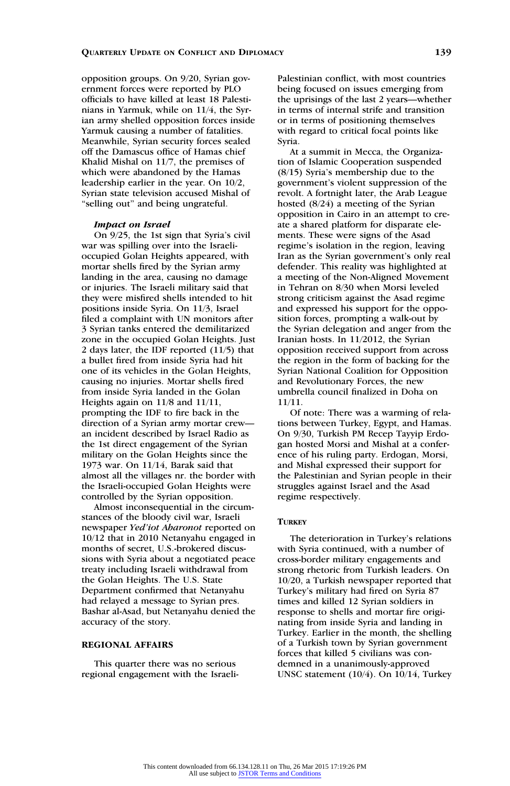opposition groups. On 9/20, Syrian government forces were reported by PLO officials to have killed at least 18 Palestinians in Yarmuk, while on 11/4, the Syrian army shelled opposition forces inside Yarmuk causing a number of fatalities. Meanwhile, Syrian security forces sealed off the Damascus office of Hamas chief Khalid Mishal on 11/7, the premises of which were abandoned by the Hamas leadership earlier in the year. On 10/2, Syrian state television accused Mishal of ''selling out'' and being ungrateful.

### Impact on Israel

On 9/25, the 1st sign that Syria's civil war was spilling over into the Israelioccupied Golan Heights appeared, with mortar shells fired by the Syrian army landing in the area, causing no damage or injuries. The Israeli military said that they were misfired shells intended to hit positions inside Syria. On 11/3, Israel filed a complaint with UN monitors after 3 Syrian tanks entered the demilitarized zone in the occupied Golan Heights. Just 2 days later, the IDF reported (11/5) that a bullet fired from inside Syria had hit one of its vehicles in the Golan Heights, causing no injuries. Mortar shells fired from inside Syria landed in the Golan Heights again on 11/8 and 11/11, prompting the IDF to fire back in the direction of a Syrian army mortar crew an incident described by Israel Radio as the 1st direct engagement of the Syrian military on the Golan Heights since the 1973 war. On 11/14, Barak said that almost all the villages nr. the border with the Israeli-occupied Golan Heights were controlled by the Syrian opposition.

Almost inconsequential in the circumstances of the bloody civil war, Israeli newspaper Yed'iot Aharonot reported on 10/12 that in 2010 Netanyahu engaged in months of secret, U.S.-brokered discussions with Syria about a negotiated peace treaty including Israeli withdrawal from the Golan Heights. The U.S. State Department confirmed that Netanyahu had relayed a message to Syrian pres. Bashar al-Asad, but Netanyahu denied the accuracy of the story.

# REGIONAL AFFAIRS

This quarter there was no serious regional engagement with the IsraeliPalestinian conflict, with most countries being focused on issues emerging from the uprisings of the last 2 years—whether in terms of internal strife and transition or in terms of positioning themselves with regard to critical focal points like Syria.

At a summit in Mecca, the Organization of Islamic Cooperation suspended (8/15) Syria's membership due to the government's violent suppression of the revolt. A fortnight later, the Arab League hosted (8/24) a meeting of the Syrian opposition in Cairo in an attempt to create a shared platform for disparate elements. These were signs of the Asad regime's isolation in the region, leaving Iran as the Syrian government's only real defender. This reality was highlighted at a meeting of the Non-Aligned Movement in Tehran on 8/30 when Morsi leveled strong criticism against the Asad regime and expressed his support for the opposition forces, prompting a walk-out by the Syrian delegation and anger from the Iranian hosts. In 11/2012, the Syrian opposition received support from across the region in the form of backing for the Syrian National Coalition for Opposition and Revolutionary Forces, the new umbrella council finalized in Doha on 11/11.

Of note: There was a warming of relations between Turkey, Egypt, and Hamas. On 9/30, Turkish PM Recep Tayyip Erdogan hosted Morsi and Mishal at a conference of his ruling party. Erdogan, Morsi, and Mishal expressed their support for the Palestinian and Syrian people in their struggles against Israel and the Asad regime respectively.

## **TURKEY**

The deterioration in Turkey's relations with Syria continued, with a number of cross-border military engagements and strong rhetoric from Turkish leaders. On 10/20, a Turkish newspaper reported that Turkey's military had fired on Syria 87 times and killed 12 Syrian soldiers in response to shells and mortar fire originating from inside Syria and landing in Turkey. Earlier in the month, the shelling of a Turkish town by Syrian government forces that killed 5 civilians was condemned in a unanimously-approved UNSC statement (10/4). On 10/14, Turkey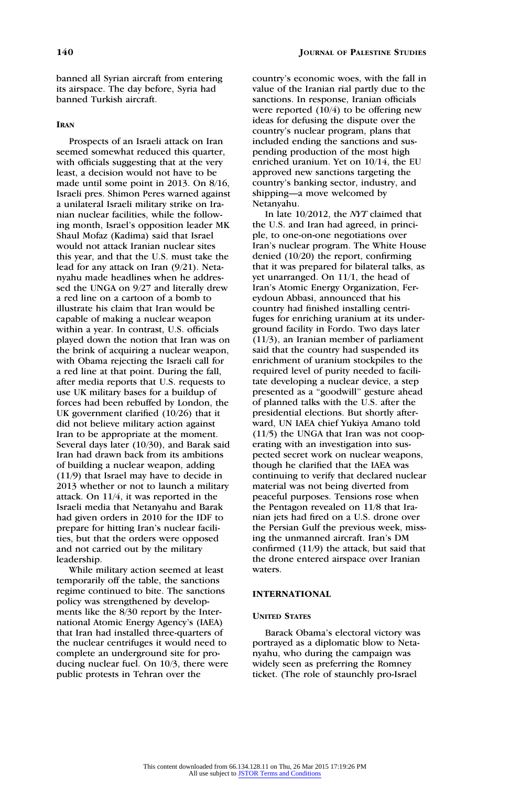### IRAN

Prospects of an Israeli attack on Iran seemed somewhat reduced this quarter, with officials suggesting that at the very least, a decision would not have to be made until some point in 2013. On 8/16, Israeli pres. Shimon Peres warned against a unilateral Israeli military strike on Iranian nuclear facilities, while the following month, Israel's opposition leader MK Shaul Mofaz (Kadima) said that Israel would not attack Iranian nuclear sites this year, and that the U.S. must take the lead for any attack on Iran (9/21). Netanyahu made headlines when he addressed the UNGA on 9/27 and literally drew a red line on a cartoon of a bomb to illustrate his claim that Iran would be capable of making a nuclear weapon within a year. In contrast, U.S. officials played down the notion that Iran was on the brink of acquiring a nuclear weapon, with Obama rejecting the Israeli call for a red line at that point. During the fall, after media reports that U.S. requests to use UK military bases for a buildup of forces had been rebuffed by London, the UK government clarified (10/26) that it did not believe military action against Iran to be appropriate at the moment. Several days later (10/30), and Barak said Iran had drawn back from its ambitions of building a nuclear weapon, adding (11/9) that Israel may have to decide in 2013 whether or not to launch a military attack. On 11/4, it was reported in the Israeli media that Netanyahu and Barak had given orders in 2010 for the IDF to prepare for hitting Iran's nuclear facilities, but that the orders were opposed and not carried out by the military leadership.

While military action seemed at least temporarily off the table, the sanctions regime continued to bite. The sanctions policy was strengthened by developments like the 8/30 report by the International Atomic Energy Agency's (IAEA) that Iran had installed three-quarters of the nuclear centrifuges it would need to complete an underground site for producing nuclear fuel. On 10/3, there were public protests in Tehran over the

country's economic woes, with the fall in value of the Iranian rial partly due to the sanctions. In response, Iranian officials were reported  $(10/4)$  to be offering new ideas for defusing the dispute over the country's nuclear program, plans that included ending the sanctions and suspending production of the most high enriched uranium. Yet on 10/14, the EU approved new sanctions targeting the country's banking sector, industry, and shipping—a move welcomed by Netanyahu.

In late 10/2012, the NYT claimed that the U.S. and Iran had agreed, in principle, to one-on-one negotiations over Iran's nuclear program. The White House denied (10/20) the report, confirming that it was prepared for bilateral talks, as yet unarranged. On 11/1, the head of Iran's Atomic Energy Organization, Fereydoun Abbasi, announced that his country had finished installing centrifuges for enriching uranium at its underground facility in Fordo. Two days later (11/3), an Iranian member of parliament said that the country had suspended its enrichment of uranium stockpiles to the required level of purity needed to facilitate developing a nuclear device, a step presented as a ''goodwill'' gesture ahead of planned talks with the U.S. after the presidential elections. But shortly afterward, UN IAEA chief Yukiya Amano told (11/5) the UNGA that Iran was not cooperating with an investigation into suspected secret work on nuclear weapons, though he clarified that the IAEA was continuing to verify that declared nuclear material was not being diverted from peaceful purposes. Tensions rose when the Pentagon revealed on 11/8 that Iranian jets had fired on a U.S. drone over the Persian Gulf the previous week, missing the unmanned aircraft. Iran's DM confirmed (11/9) the attack, but said that the drone entered airspace over Iranian waters.

### INTERNATIONAL

#### UNITED STATES

Barack Obama's electoral victory was portrayed as a diplomatic blow to Netanyahu, who during the campaign was widely seen as preferring the Romney ticket. (The role of staunchly pro-Israel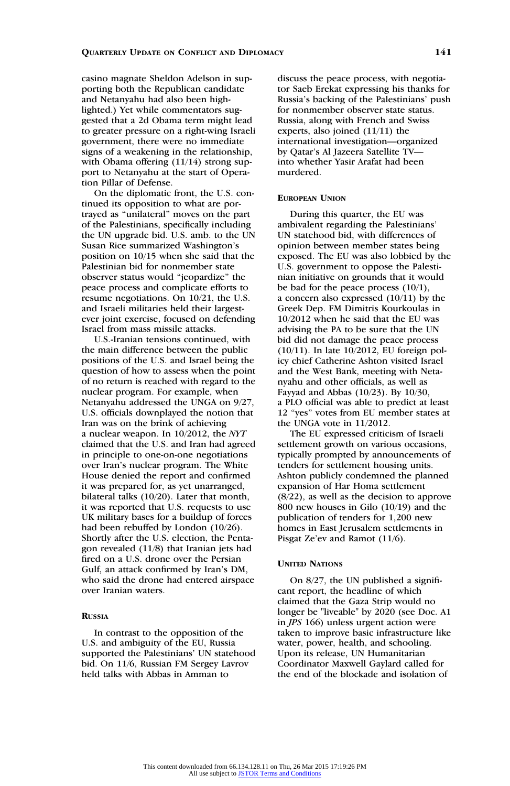casino magnate Sheldon Adelson in supporting both the Republican candidate and Netanyahu had also been highlighted.) Yet while commentators suggested that a 2d Obama term might lead to greater pressure on a right-wing Israeli government, there were no immediate signs of a weakening in the relationship, with Obama offering (11/14) strong support to Netanyahu at the start of Operation Pillar of Defense.

On the diplomatic front, the U.S. continued its opposition to what are portrayed as ''unilateral'' moves on the part of the Palestinians, specifically including the UN upgrade bid. U.S. amb. to the UN Susan Rice summarized Washington's position on 10/15 when she said that the Palestinian bid for nonmember state observer status would ''jeopardize'' the peace process and complicate efforts to resume negotiations. On 10/21, the U.S. and Israeli militaries held their largestever joint exercise, focused on defending Israel from mass missile attacks.

U.S.-Iranian tensions continued, with the main difference between the public positions of the U.S. and Israel being the question of how to assess when the point of no return is reached with regard to the nuclear program. For example, when Netanyahu addressed the UNGA on 9/27, U.S. officials downplayed the notion that Iran was on the brink of achieving a nuclear weapon. In 10/2012, the NYT claimed that the U.S. and Iran had agreed in principle to one-on-one negotiations over Iran's nuclear program. The White House denied the report and confirmed it was prepared for, as yet unarranged, bilateral talks (10/20). Later that month, it was reported that U.S. requests to use UK military bases for a buildup of forces had been rebuffed by London (10/26). Shortly after the U.S. election, the Pentagon revealed (11/8) that Iranian jets had fired on a U.S. drone over the Persian Gulf, an attack confirmed by Iran's DM, who said the drone had entered airspace over Iranian waters.

# RUSSIA

In contrast to the opposition of the U.S. and ambiguity of the EU, Russia supported the Palestinians' UN statehood bid. On 11/6, Russian FM Sergey Lavrov held talks with Abbas in Amman to

discuss the peace process, with negotiator Saeb Erekat expressing his thanks for Russia's backing of the Palestinians' push for nonmember observer state status. Russia, along with French and Swiss experts, also joined (11/11) the international investigation—organized by Qatar's Al Jazeera Satellite TV into whether Yasir Arafat had been murdered.

### **FUROPEAN LINION**

During this quarter, the EU was ambivalent regarding the Palestinians' UN statehood bid, with differences of opinion between member states being exposed. The EU was also lobbied by the U.S. government to oppose the Palestinian initiative on grounds that it would be bad for the peace process (10/1), a concern also expressed (10/11) by the Greek Dep. FM Dimitris Kourkoulas in 10/2012 when he said that the EU was advising the PA to be sure that the UN bid did not damage the peace process (10/11). In late 10/2012, EU foreign policy chief Catherine Ashton visited Israel and the West Bank, meeting with Netanyahu and other officials, as well as Fayyad and Abbas (10/23). By 10/30, a PLO official was able to predict at least 12 ''yes'' votes from EU member states at the UNGA vote in 11/2012.

The EU expressed criticism of Israeli settlement growth on various occasions, typically prompted by announcements of tenders for settlement housing units. Ashton publicly condemned the planned expansion of Har Homa settlement (8/22), as well as the decision to approve 800 new houses in Gilo (10/19) and the publication of tenders for 1,200 new homes in East Jerusalem settlements in Pisgat Ze'ev and Ramot (11/6).

#### UNITED NATIONS

On 8/27, the UN published a significant report, the headline of which claimed that the Gaza Strip would no longer be "liveable" by 2020 (see Doc. A1 in JPS 166) unless urgent action were taken to improve basic infrastructure like water, power, health, and schooling. Upon its release, UN Humanitarian Coordinator Maxwell Gaylard called for the end of the blockade and isolation of